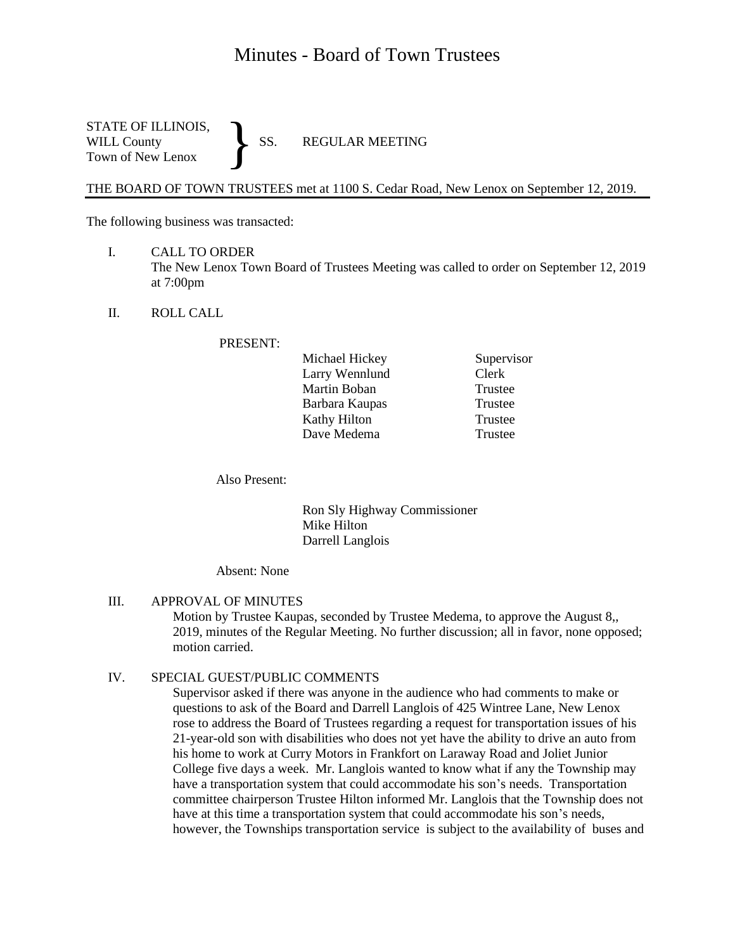# Minutes - Board of Town Trustees

STATE OF ILLINOIS,<br>WILL County SS. WILL County SS. REGULAR MEETING Town of New Lenox }

THE BOARD OF TOWN TRUSTEES met at 1100 S. Cedar Road, New Lenox on September 12, 2019.

The following business was transacted:

- I. CALL TO ORDER The New Lenox Town Board of Trustees Meeting was called to order on September 12, 2019 at 7:00pm
- II. ROLL CALL

PRESENT:

| Michael Hickey | Supervisor |
|----------------|------------|
| Larry Wennlund | Clerk      |
| Martin Boban   | Trustee    |
| Barbara Kaupas | Trustee    |
| Kathy Hilton   | Trustee    |
| Dave Medema    | Trustee    |

Also Present:

Ron Sly Highway Commissioner Mike Hilton Darrell Langlois

Absent: None

III. APPROVAL OF MINUTES Motion by Trustee Kaupas, seconded by Trustee Medema, to approve the August 8,, 2019, minutes of the Regular Meeting. No further discussion; all in favor, none opposed; motion carried.

#### IV. SPECIAL GUEST/PUBLIC COMMENTS

Supervisor asked if there was anyone in the audience who had comments to make or questions to ask of the Board and Darrell Langlois of 425 Wintree Lane, New Lenox rose to address the Board of Trustees regarding a request for transportation issues of his 21-year-old son with disabilities who does not yet have the ability to drive an auto from his home to work at Curry Motors in Frankfort on Laraway Road and Joliet Junior College five days a week. Mr. Langlois wanted to know what if any the Township may have a transportation system that could accommodate his son's needs. Transportation committee chairperson Trustee Hilton informed Mr. Langlois that the Township does not have at this time a transportation system that could accommodate his son's needs, however, the Townships transportation service is subject to the availability of buses and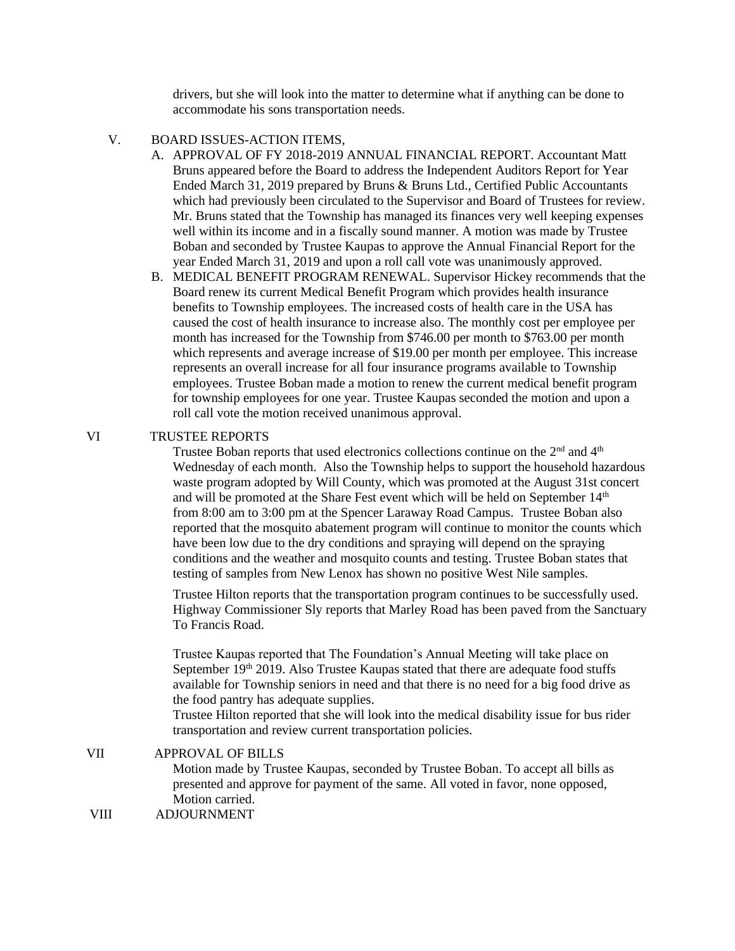drivers, but she will look into the matter to determine what if anything can be done to accommodate his sons transportation needs.

## V. BOARD ISSUES-ACTION ITEMS,

- A. APPROVAL OF FY 2018-2019 ANNUAL FINANCIAL REPORT. Accountant Matt Bruns appeared before the Board to address the Independent Auditors Report for Year Ended March 31, 2019 prepared by Bruns & Bruns Ltd., Certified Public Accountants which had previously been circulated to the Supervisor and Board of Trustees for review. Mr. Bruns stated that the Township has managed its finances very well keeping expenses well within its income and in a fiscally sound manner. A motion was made by Trustee Boban and seconded by Trustee Kaupas to approve the Annual Financial Report for the year Ended March 31, 2019 and upon a roll call vote was unanimously approved.
- B. MEDICAL BENEFIT PROGRAM RENEWAL. Supervisor Hickey recommends that the Board renew its current Medical Benefit Program which provides health insurance benefits to Township employees. The increased costs of health care in the USA has caused the cost of health insurance to increase also. The monthly cost per employee per month has increased for the Township from \$746.00 per month to \$763.00 per month which represents and average increase of \$19.00 per month per employee. This increase represents an overall increase for all four insurance programs available to Township employees. Trustee Boban made a motion to renew the current medical benefit program for township employees for one year. Trustee Kaupas seconded the motion and upon a roll call vote the motion received unanimous approval.

## VI TRUSTEE REPORTS

Trustee Boban reports that used electronics collections continue on the  $2<sup>nd</sup>$  and  $4<sup>th</sup>$ Wednesday of each month. Also the Township helps to support the household hazardous waste program adopted by Will County, which was promoted at the August 31st concert and will be promoted at the Share Fest event which will be held on September 14<sup>th</sup> from 8:00 am to 3:00 pm at the Spencer Laraway Road Campus. Trustee Boban also reported that the mosquito abatement program will continue to monitor the counts which have been low due to the dry conditions and spraying will depend on the spraying conditions and the weather and mosquito counts and testing. Trustee Boban states that testing of samples from New Lenox has shown no positive West Nile samples.

Trustee Hilton reports that the transportation program continues to be successfully used. Highway Commissioner Sly reports that Marley Road has been paved from the Sanctuary To Francis Road.

Trustee Kaupas reported that The Foundation's Annual Meeting will take place on September  $19<sup>th</sup> 2019$ . Also Trustee Kaupas stated that there are adequate food stuffs available for Township seniors in need and that there is no need for a big food drive as the food pantry has adequate supplies.

Trustee Hilton reported that she will look into the medical disability issue for bus rider transportation and review current transportation policies.

### VII APPROVAL OF BILLS

Motion made by Trustee Kaupas, seconded by Trustee Boban. To accept all bills as presented and approve for payment of the same. All voted in favor, none opposed, Motion carried.

VIII ADJOURNMENT